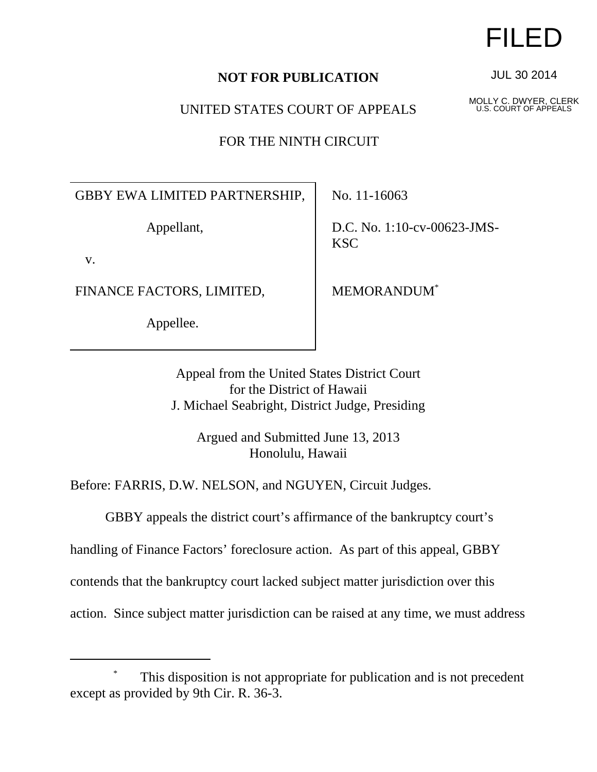## **NOT FOR PUBLICATION**

UNITED STATES COURT OF APPEALS

FOR THE NINTH CIRCUIT

GBBY EWA LIMITED PARTNERSHIP,

Appellant,

v.

FINANCE FACTORS, LIMITED,

Appellee.

No. 11-16063

D.C. No. 1:10-cv-00623-JMS-KSC

MEMORANDUM\*

Appeal from the United States District Court for the District of Hawaii J. Michael Seabright, District Judge, Presiding

> Argued and Submitted June 13, 2013 Honolulu, Hawaii

Before: FARRIS, D.W. NELSON, and NGUYEN, Circuit Judges.

GBBY appeals the district court's affirmance of the bankruptcy court's

handling of Finance Factors' foreclosure action. As part of this appeal, GBBY

contends that the bankruptcy court lacked subject matter jurisdiction over this

action. Since subject matter jurisdiction can be raised at any time, we must address

FILED

JUL 30 2014

MOLLY C. DWYER, CLERK U.S. COURT OF APPEALS

This disposition is not appropriate for publication and is not precedent except as provided by 9th Cir. R. 36-3.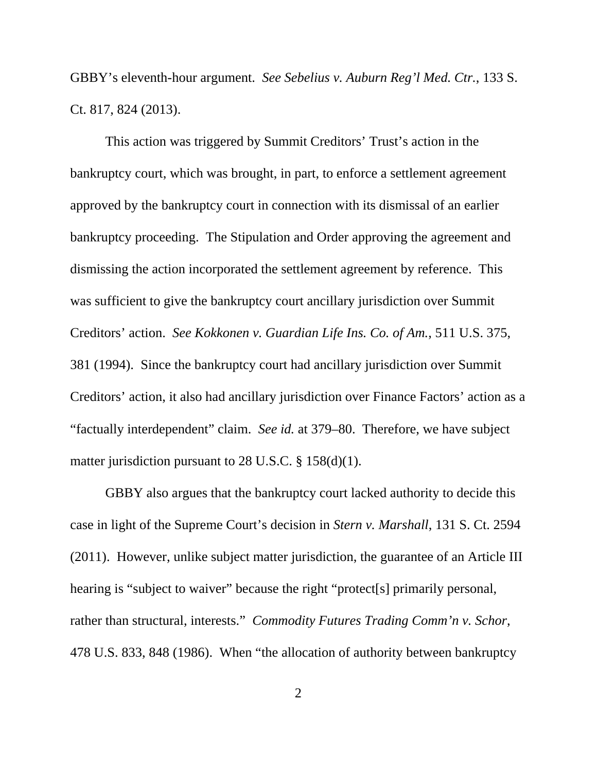GBBY's eleventh-hour argument. *See Sebelius v. Auburn Reg'l Med. Ctr.*, 133 S. Ct. 817, 824 (2013).

This action was triggered by Summit Creditors' Trust's action in the bankruptcy court, which was brought, in part, to enforce a settlement agreement approved by the bankruptcy court in connection with its dismissal of an earlier bankruptcy proceeding. The Stipulation and Order approving the agreement and dismissing the action incorporated the settlement agreement by reference. This was sufficient to give the bankruptcy court ancillary jurisdiction over Summit Creditors' action. *See Kokkonen v. Guardian Life Ins. Co. of Am.*, 511 U.S. 375, 381 (1994). Since the bankruptcy court had ancillary jurisdiction over Summit Creditors' action, it also had ancillary jurisdiction over Finance Factors' action as a "factually interdependent" claim. *See id.* at 379–80. Therefore, we have subject matter jurisdiction pursuant to 28 U.S.C. § 158(d)(1).

GBBY also argues that the bankruptcy court lacked authority to decide this case in light of the Supreme Court's decision in *Stern v. Marshall*, 131 S. Ct. 2594 (2011). However, unlike subject matter jurisdiction, the guarantee of an Article III hearing is "subject to waiver" because the right "protect[s] primarily personal, rather than structural, interests." *Commodity Futures Trading Comm'n v. Schor*, 478 U.S. 833, 848 (1986). When "the allocation of authority between bankruptcy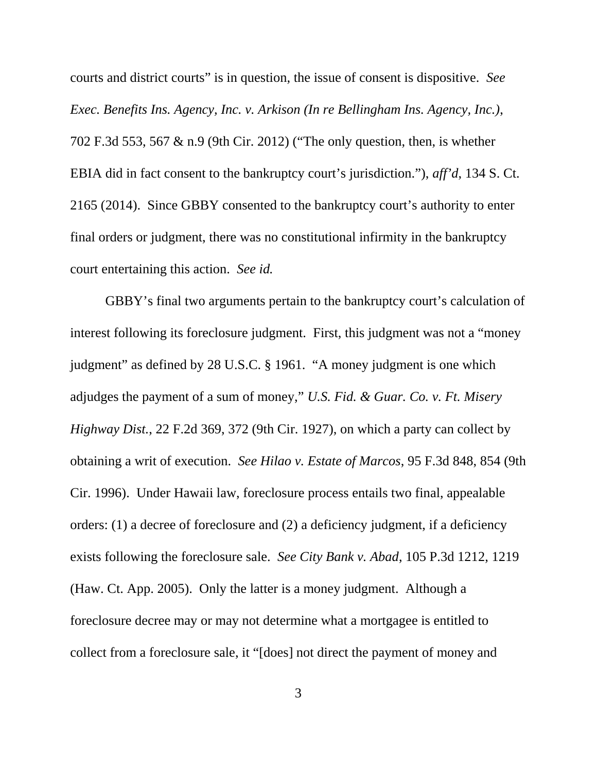courts and district courts" is in question, the issue of consent is dispositive. *See Exec. Benefits Ins. Agency, Inc. v. Arkison (In re Bellingham Ins. Agency, Inc.)*, 702 F.3d 553, 567 & n.9 (9th Cir. 2012) ("The only question, then, is whether EBIA did in fact consent to the bankruptcy court's jurisdiction."), *aff'd*, 134 S. Ct. 2165 (2014). Since GBBY consented to the bankruptcy court's authority to enter final orders or judgment, there was no constitutional infirmity in the bankruptcy court entertaining this action. *See id.* 

GBBY's final two arguments pertain to the bankruptcy court's calculation of interest following its foreclosure judgment. First, this judgment was not a "money judgment" as defined by 28 U.S.C. § 1961. "A money judgment is one which adjudges the payment of a sum of money," *U.S. Fid. & Guar. Co. v. Ft. Misery Highway Dist.*, 22 F.2d 369, 372 (9th Cir. 1927), on which a party can collect by obtaining a writ of execution. *See Hilao v. Estate of Marcos*, 95 F.3d 848, 854 (9th Cir. 1996). Under Hawaii law, foreclosure process entails two final, appealable orders: (1) a decree of foreclosure and (2) a deficiency judgment, if a deficiency exists following the foreclosure sale. *See City Bank v. Abad*, 105 P.3d 1212, 1219 (Haw. Ct. App. 2005). Only the latter is a money judgment. Although a foreclosure decree may or may not determine what a mortgagee is entitled to collect from a foreclosure sale, it "[does] not direct the payment of money and